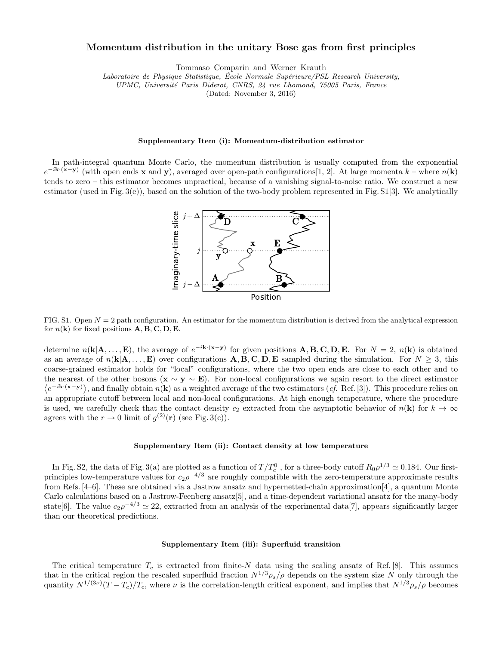# Momentum distribution in the unitary Bose gas from first principles

Tommaso Comparin and Werner Krauth

Laboratoire de Physique Statistique, École Normale Supérieure/PSL Research University,

UPMC, Université Paris Diderot, CNRS, 24 rue Lhomond, 75005 Paris, France

(Dated: November 3, 2016)

#### Supplementary Item (i): Momentum-distribution estimator

In path-integral quantum Monte Carlo, the momentum distribution is usually computed from the exponential  $e^{-i\mathbf{k}\cdot(\mathbf{x}-\mathbf{y})}$  (with open ends x and y), averaged over open-path configurations[1, 2]. At large momenta  $k$  – where  $n(\mathbf{k})$ tends to zero – this estimator becomes unpractical, because of a vanishing signal-to-noise ratio. We construct a new estimator (used in Fig. 3(e)), based on the solution of the two-body problem represented in Fig.  $S1[3]$ . We analytically



FIG. S1. Open  $N = 2$  path configuration. An estimator for the momentum distribution is derived from the analytical expression for  $n(\mathbf{k})$  for fixed positions  $\mathbf{A}, \mathbf{B}, \mathbf{C}, \mathbf{D}, \mathbf{E}$ .

determine  $n(\mathbf{k}|\mathbf{A},...,\mathbf{E})$ , the average of  $e^{-i\mathbf{k}\cdot(\mathbf{x}-\mathbf{y})}$  for given positions  $\mathbf{A},\mathbf{B},\mathbf{C},\mathbf{D},\mathbf{E}$ . For  $N=2$ ,  $n(\mathbf{k})$  is obtained as an average of  $n(\mathbf{k}|\mathbf{A},...,\mathbf{E})$  over configurations  $\mathbf{A}, \mathbf{B}, \mathbf{C}, \mathbf{D}, \mathbf{E}$  sampled during the simulation. For  $N \geq 3$ , this coarse-grained estimator holds for "local" configurations, where the two open ends are close to each other and to the nearest of the other bosons ( $\mathbf{x} \sim \mathbf{y} \sim \mathbf{E}$ ). For non-local configurations we again resort to the direct estimator  $\langle e^{-i\mathbf{k}\cdot(\mathbf{x}-\mathbf{y})}\rangle$ , and finally obtain  $n(\mathbf{k})$  as a weighted average of the two estimators (*cf.* Ref. [3]). This procedure relies on an appropriate cutoff between local and non-local configurations. At high enough temperature, where the procedure is used, we carefully check that the contact density  $c_2$  extracted from the asymptotic behavior of  $n(\mathbf{k})$  for  $k \to \infty$ agrees with the  $r \to 0$  limit of  $g^{(2)}(\mathbf{r})$  (see Fig. 3(c)).

### Supplementary Item (ii): Contact density at low temperature

In Fig. S2, the data of Fig. 3(a) are plotted as a function of  $T/T_c^0$ , for a three-body cutoff  $R_0 \rho^{1/3} \simeq 0.184$ . Our firstprinciples low-temperature values for  $c_2 \rho^{-4/3}$  are roughly compatible with the zero-temperature approximate results from Refs. [4–6]. These are obtained via a Jastrow ansatz and hypernetted-chain approximation[4], a quantum Monte Carlo calculations based on a Jastrow-Feenberg ansatz[5], and a time-dependent variational ansatz for the many-body state[6]. The value  $c_2 \rho^{-4/3} \simeq 22$ , extracted from an analysis of the experimental data[7], appears significantly larger than our theoretical predictions.

# Supplementary Item (iii): Superfluid transition

The critical temperature  $T_c$  is extracted from finite-N data using the scaling ansatz of Ref. [8]. This assumes that in the critical region the rescaled superfluid fraction  $N^{1/3}\rho_s/\rho$  depends on the system size N only through the quantity  $N^{1/(3\nu)}(T-T_c)/T_c$ , where  $\nu$  is the correlation-length critical exponent, and implies that  $N^{1/3}\rho_s/\rho$  becomes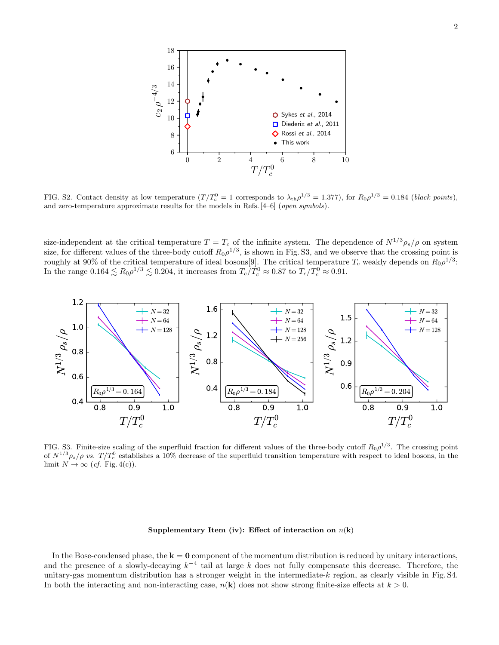

FIG. S2. Contact density at low temperature  $(T/T_c^0 = 1$  corresponds to  $\lambda_{\rm th}\rho^{1/3} = 1.377$ ), for  $R_0\rho^{1/3} = 0.184$  (black points), and zero-temperature approximate results for the models in Refs. [4–6] (*open symbols*).

size-independent at the critical temperature  $T = T_c$  of the infinite system. The dependence of  $N^{1/3} \rho_s / \rho$  on system size, for different values of the three-body cutoff  $R_0 \rho^{1/3}$ , is shown in Fig. S3, and we observe that the crossing point is roughly at 90% of the critical temperature of ideal bosons[9]. The critical temperature  $T_c$  weakly depends on  $R_0 \rho^{1/3}$ : In the range  $0.164 \lesssim R_0 \rho^{1/3} \lesssim 0.204$ , it increases from  $T_c/T_c^0 \approx 0.87$  to  $T_c/T_c^0 \approx 0.91$ .



FIG. S3. Finite-size scaling of the superfluid fraction for different values of the three-body cutoff  $R_0 \rho^{1/3}$ . The crossing point of  $N^{1/3}\rho_s/\rho$  vs.  $T/T_c^0$  establishes a 10% decrease of the superfluid transition temperature with respect to ideal bosons, in the limit  $N \to \infty$  (*cf.* Fig. 4(c)).

# Supplementary Item (iv): Effect of interaction on  $n(k)$

In the Bose-condensed phase, the  $k = 0$  component of the momentum distribution is reduced by unitary interactions, and the presence of a slowly-decaying  $k^{-4}$  tail at large k does not fully compensate this decrease. Therefore, the unitary-gas momentum distribution has a stronger weight in the intermediate-k region, as clearly visible in Fig. S4. In both the interacting and non-interacting case,  $n(\mathbf{k})$  does not show strong finite-size effects at  $k > 0$ .